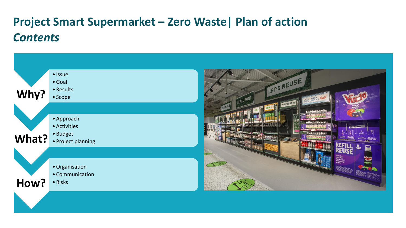#### **Project Smart Supermarket – Zero Waste| Plan of action** *Contents*

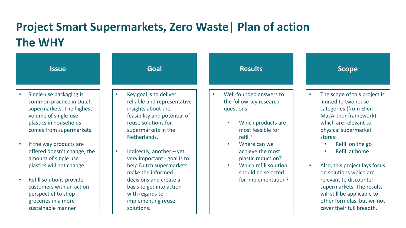#### **Project Smart Supermarkets, Zero Waste| Plan of action The WHY**

| <b>Issue</b>                                                                                                                                                   | <b>Goal</b>                                                                                                                                                                            | <b>Results</b>                                                                                                                                   | <b>Scope</b>                                                                                                                                                                    |
|----------------------------------------------------------------------------------------------------------------------------------------------------------------|----------------------------------------------------------------------------------------------------------------------------------------------------------------------------------------|--------------------------------------------------------------------------------------------------------------------------------------------------|---------------------------------------------------------------------------------------------------------------------------------------------------------------------------------|
| Single-use packaging is<br>common practice in Dutch<br>supermarkets. The highest<br>volume of single-use<br>plastics in households<br>comes from supermarkets. | Key goal is to deliver<br>$\bullet$<br>reliable and representative<br>insights about the<br>feasibility and potential of<br>reuse solutions for<br>supermarkets in the<br>Netherlands. | Well-founded answers to<br>$\bullet$<br>the follow key research<br>questions:<br>Which products are<br>$\bullet$<br>most feasible for<br>refill? | The scope of this project is<br>$\bullet$<br>limited to two reuse<br>categories (from Ellen<br>MacArthur framework)<br>which are relevant to<br>physical supermarket<br>stores: |
| If the way products are<br>offered doesn't change, the<br>amount of single use<br>plastics will not change.                                                    | Indirectly, another $-$ yet<br>$\bullet$<br>very important - goal is to<br>help Dutch supermarkets<br>make the informed                                                                | Where can we<br>$\bullet$<br>achieve the most<br>plastic reduction?<br>Which refill solution<br>$\bullet$<br>should be selected                  | Refill on the go<br>$\bullet$<br>Refill at home<br>$\bullet$<br>Also, this project lays focus<br>$\bullet$<br>on solutions which are                                            |
| Refill solutions provide<br>customers with an action<br>perspectief to shop<br>groceries in a more<br>sustainable manner.                                      | decisions and create a<br>basis to get into action<br>with regards to<br>implementing reuse<br>solutions.                                                                              | for implementation?                                                                                                                              | relevant to discounter<br>supermarkets. The results<br>will still be applicable to<br>other formulas, but wil not<br>cover their full breadth.                                  |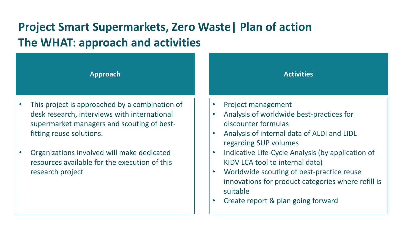## **Project Smart Supermarkets, Zero Waste| Plan of action The WHAT: approach and activities**



- This project is approached by a combination of desk research, interviews with international supermarket managers and scouting of bestfitting reuse solutions.
- Organizations involved will make dedicated resources available for the execution of this research project

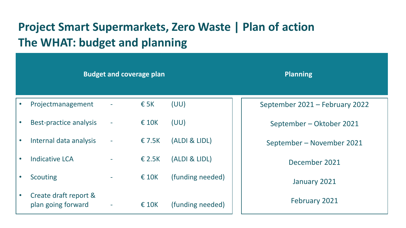### **Project Smart Supermarkets, Zero Waste | Plan of action The WHAT: budget and planning**

|                                                          | <b>Budget and coverage plan</b> |                 |                  | <b>Planning</b>                |
|----------------------------------------------------------|---------------------------------|-----------------|------------------|--------------------------------|
| Projectmanagement                                        |                                 | $\epsilon$ 5K   | (UU)             | September 2021 - February 2022 |
| <b>Best-practice analysis</b><br>$\bullet$               | $\overline{\phantom{a}}$        | $\epsilon$ 10K  | (UU)             | September – Oktober 2021       |
| Internal data analysis<br>$\bullet$                      | $\equiv$                        | € 7.5K          | (ALDI & LIDL)    | September – November 2021      |
| <b>Indicative LCA</b><br>$\bullet$                       |                                 | $\epsilon$ 2.5K | (ALDI & LIDL)    | December 2021                  |
| <b>Scouting</b><br>$\bullet$                             | $\sim$                          | $\epsilon$ 10K  | (funding needed) | January 2021                   |
| Create draft report &<br>$\bullet$<br>plan going forward | ٠                               | $\epsilon$ 10K  | (funding needed) | February 2021                  |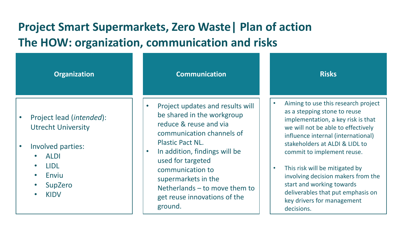### **Project Smart Supermarkets, Zero Waste| Plan of action The HOW: organization, communication and risks**

| <b>Organization</b>               | <b>Communication</b>             | <b>Risks</b>                        |
|-----------------------------------|----------------------------------|-------------------------------------|
| Project lead ( <i>intended</i> ): | Project updates and results will | Aiming to use this research project |
| $\bullet$                         | be shared in the workgroup       | as a stepping stone to reuse        |
| <b>Utrecht University</b>         | reduce & reuse and via           | implementation, a key risk is that  |
| Involved parties:                 | communication channels of        | we will not be able to effectively  |
| $\bullet$                         | <b>Plastic Pact NL.</b>          | influence internal (international)  |
| <b>ALDI</b>                       | In addition, findings will be    | stakeholders at ALDI & LIDL to      |
| <b>LIDL</b>                       | $\bullet$                        | commit to implement reuse.          |
| $\bullet$                         | used for targeted                | This risk will be mitigated by      |
| Enviu                             | communication to                 | involving decision makers from the  |
| $\bullet$                         | supermarkets in the              | start and working towards           |
| SupZero                           | Netherlands – to move them to    | deliverables that put emphasis on   |
| <b>KIDV</b>                       | get reuse innovations of the     | key drivers for management          |
| $\bullet$                         | ground.                          | decisions.                          |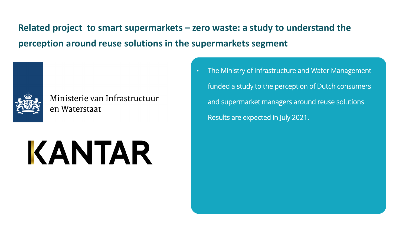**Related project to smart supermarkets – zero waste: a study to understand the perception around reuse solutions in the supermarkets segment**



Ministerie van Infrastructuur en Waterstaat

# KANTAR

• The Ministry of Infrastructure and Water Management funded a study to the perception of Dutch consumers and supermarket managers around reuse solutions. Results are expected in July 2021.